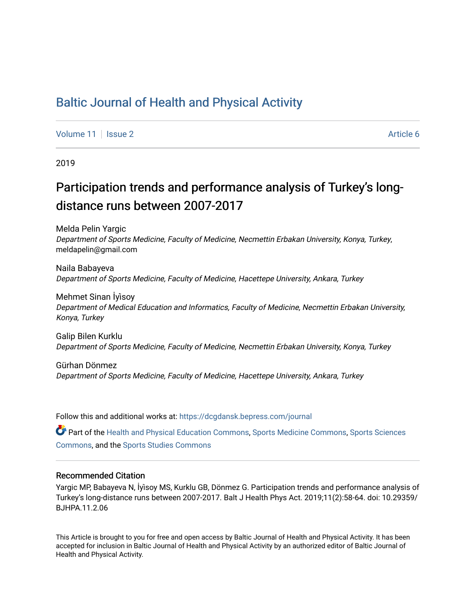## [Baltic Journal of Health and Physical Activity](https://dcgdansk.bepress.com/journal)

[Volume 11](https://dcgdansk.bepress.com/journal/vol11) | [Issue 2](https://dcgdansk.bepress.com/journal/vol11/iss2) Article 6

2019

# Participation trends and performance analysis of Turkey's longdistance runs between 2007-2017

Melda Pelin Yargic Department of Sports Medicine, Faculty of Medicine, Necmettin Erbakan University, Konya, Turkey, meldapelin@gmail.com

Naila Babayeva Department of Sports Medicine, Faculty of Medicine, Hacettepe University, Ankara, Turkey

Mehmet Sinan İyi̇soy Department of Medical Education and Informatics, Faculty of Medicine, Necmettin Erbakan University, Konya, Turkey

Galip Bilen Kurklu Department of Sports Medicine, Faculty of Medicine, Necmettin Erbakan University, Konya, Turkey

Gürhan Dönmez Department of Sports Medicine, Faculty of Medicine, Hacettepe University, Ankara, Turkey

Follow this and additional works at: [https://dcgdansk.bepress.com/journal](https://dcgdansk.bepress.com/journal?utm_source=dcgdansk.bepress.com%2Fjournal%2Fvol11%2Fiss2%2F6&utm_medium=PDF&utm_campaign=PDFCoverPages)

Part of the [Health and Physical Education Commons](http://network.bepress.com/hgg/discipline/1327?utm_source=dcgdansk.bepress.com%2Fjournal%2Fvol11%2Fiss2%2F6&utm_medium=PDF&utm_campaign=PDFCoverPages), [Sports Medicine Commons,](http://network.bepress.com/hgg/discipline/1331?utm_source=dcgdansk.bepress.com%2Fjournal%2Fvol11%2Fiss2%2F6&utm_medium=PDF&utm_campaign=PDFCoverPages) [Sports Sciences](http://network.bepress.com/hgg/discipline/759?utm_source=dcgdansk.bepress.com%2Fjournal%2Fvol11%2Fiss2%2F6&utm_medium=PDF&utm_campaign=PDFCoverPages) [Commons](http://network.bepress.com/hgg/discipline/759?utm_source=dcgdansk.bepress.com%2Fjournal%2Fvol11%2Fiss2%2F6&utm_medium=PDF&utm_campaign=PDFCoverPages), and the [Sports Studies Commons](http://network.bepress.com/hgg/discipline/1198?utm_source=dcgdansk.bepress.com%2Fjournal%2Fvol11%2Fiss2%2F6&utm_medium=PDF&utm_campaign=PDFCoverPages) 

#### Recommended Citation

Yargic MP, Babayeva N, İyi̇soy MS, Kurklu GB, Dönmez G. Participation trends and performance analysis of Turkey's long-distance runs between 2007-2017. Balt J Health Phys Act. 2019;11(2):58-64. doi: 10.29359/ BJHPA.11.2.06

This Article is brought to you for free and open access by Baltic Journal of Health and Physical Activity. It has been accepted for inclusion in Baltic Journal of Health and Physical Activity by an authorized editor of Baltic Journal of Health and Physical Activity.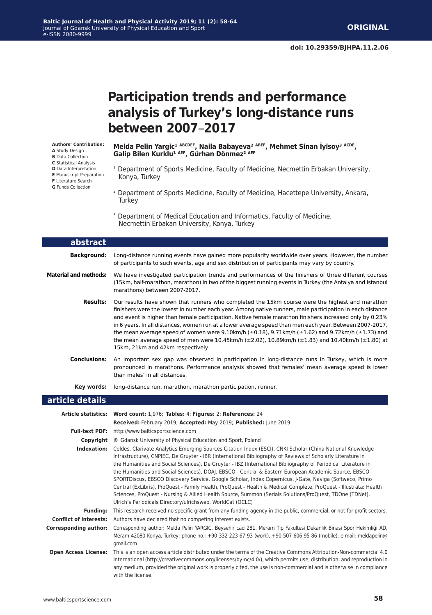### **doi: 10.29359/BJHPA.11.2.06**

**ORIGINAL** 

**Participation trends and performance analysis of Turkey's long-distance runs between 2007**–**2017**

**Authors' Contribution: A** Study Design **B** Data Collection **C** Statistical Analysis **D** Data Interpretation **E** Manuscript Preparation **F** Literature Search **G** Funds Collection

ſ

I

Melda Pelin Yargic<sup>1 ABCDEF</sup>, Naila Babayeva<sup>2 ABEF</sup>, Mehmet Sinan İyisoy<sup>3 ACDE</sup>, Galip Bilen Kurklu<sup>1 AEF</sup>, Gürhan Dönmez<sup>2 AEF</sup>

- <sup>1</sup> Department of Sports Medicine, Faculty of Medicine, Necmettin Erbakan University, Konya, Turkey
- 2 Department of Sports Medicine, Faculty of Medicine, Hacettepe University, Ankara, **Turkey**
- <sup>3</sup> Department of Medical Education and Informatics, Faculty of Medicine, Necmettin Erbakan University, Konya, Turkey

| abstract                     |                                                                                                                                                                                                                                                                                                                                                                                                                                                                                                                                                                                                                                                                                                                  |
|------------------------------|------------------------------------------------------------------------------------------------------------------------------------------------------------------------------------------------------------------------------------------------------------------------------------------------------------------------------------------------------------------------------------------------------------------------------------------------------------------------------------------------------------------------------------------------------------------------------------------------------------------------------------------------------------------------------------------------------------------|
| <b>Background:</b>           | Long-distance running events have gained more popularity worldwide over years. However, the number<br>of participants to such events, age and sex distribution of participants may vary by country.                                                                                                                                                                                                                                                                                                                                                                                                                                                                                                              |
| <b>Material and methods:</b> | We have investigated participation trends and performances of the finishers of three different courses<br>(15km, half-marathon, marathon) in two of the biggest running events in Turkey (the Antalya and Istanbul<br>marathons) between 2007-2017.                                                                                                                                                                                                                                                                                                                                                                                                                                                              |
| <b>Results:</b>              | Our results have shown that runners who completed the 15km course were the highest and marathon<br>finishers were the lowest in number each year. Among native runners, male participation in each distance<br>and event is higher than female participation. Native female marathon finishers increased only by 0.23%<br>in 6 years. In all distances, women run at a lower average speed than men each year. Between 2007-2017,<br>the mean average speed of women were 9.10km/h $(\pm 0.18)$ , 9.71km/h $(\pm 1.62)$ and 9.72km/h $(\pm 1.73)$ and<br>the mean average speed of men were 10.45km/h ( $\pm$ 2.02), 10.89km/h ( $\pm$ 1.83) and 10.40km/h ( $\pm$ 1.80) at<br>15km, 21km and 42km respectively. |
| <b>Conclusions:</b>          | An important sex gap was observed in participation in long-distance runs in Turkey, which is more<br>pronounced in marathons. Performance analysis showed that females' mean average speed is lower<br>than males' in all distances.                                                                                                                                                                                                                                                                                                                                                                                                                                                                             |
| Key words:                   | long-distance run, marathon, marathon participation, runner.                                                                                                                                                                                                                                                                                                                                                                                                                                                                                                                                                                                                                                                     |
| article details              |                                                                                                                                                                                                                                                                                                                                                                                                                                                                                                                                                                                                                                                                                                                  |
|                              | Article statistics: Word count: 1,976; Tables: 4; Figures: 2; References: 24<br>Received: February 2019; Accepted: May 2019; Published: June 2019                                                                                                                                                                                                                                                                                                                                                                                                                                                                                                                                                                |
| <b>Full-text PDF:</b>        | http://www.balticsportscience.com                                                                                                                                                                                                                                                                                                                                                                                                                                                                                                                                                                                                                                                                                |
| Copyright                    | © Gdansk University of Physical Education and Sport, Poland                                                                                                                                                                                                                                                                                                                                                                                                                                                                                                                                                                                                                                                      |
| Indexation:                  | Celdes, Clarivate Analytics Emerging Sources Citation Index (ESCI), CNKI Scholar (China National Knowledge<br>Infrastructure), CNPIEC, De Gruyter - IBR (International Bibliography of Reviews of Scholarly Literature in<br>the Humanities and Social Sciences), De Gruyter - IBZ (International Bibliography of Periodical Literature in<br>the Humanities and Social Sciences), DOAJ, EBSCO - Central & Eastern European Academic Source, EBSCO -<br>SPORTDiscus, EBSCO Discovery Service, Google Scholar, Index Copernicus, J-Gate, Naviga (Softweco, Primo<br>Central (ExLibris), ProQuest - Family Health, ProQuest - Health & Medical Complete, ProQuest - Illustrata: Health                             |

Sciences, ProQuest - Nursing & Allied Health Source, Summon (Serials Solutions/ProQuest, TDOne (TDNet), Ulrich's Periodicals Directory/ulrichsweb, WorldCat (OCLC) **Funding:** This research received no specific grant from any funding agency in the public, commercial, or not-for-profit sectors.

**Conflict of interests:** Authors have declared that no competing interest exists. **Corresponding author:** Corresponding author: Melda Pelin YARGIC, Beysehir cad 281. Meram Tıp Fakultesi Dekanlık Binası Spor Hekimliği AD,

Meram 42080 Konya, Turkey; phone no.: +90 332 223 67 93 (work), +90 507 606 95 86 (mobile); e-mail: meldapelin@ gmail.com **Open Access License:** This is an open access article distributed under the terms of the Creative Commons Attribution-Non-commercial 4.0

International (http://creativecommons.org/licenses/by-nc/4.0/), which permits use, distribution, and reproduction in any medium, provided the original work is properly cited, the use is non-commercial and is otherwise in compliance with the license.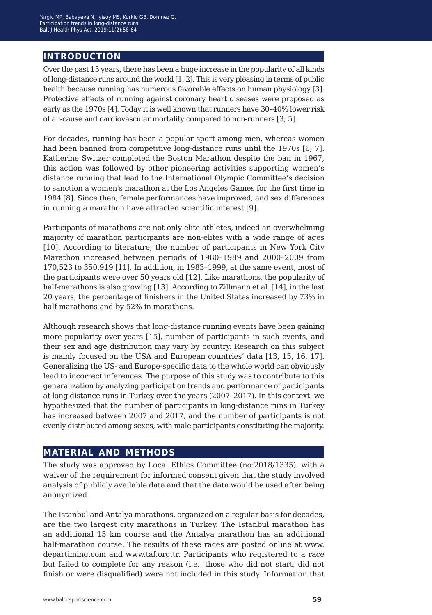## **introduction**

Over the past 15 years, there has been a huge increase in the popularity of all kinds of long-distance runs around the world [1, 2]. This is very pleasing in terms of public health because running has numerous favorable effects on human physiology [3]. Protective effects of running against coronary heart diseases were proposed as early as the 1970s [4]. Today it is well known that runners have 30–40% lower risk of all-cause and cardiovascular mortality compared to non-runners [3, 5].

For decades, running has been a popular sport among men, whereas women had been banned from competitive long-distance runs until the 1970s [6, 7]. Katherine Switzer completed the Boston Marathon despite the ban in 1967, this action was followed by other pioneering activities supporting women's distance running that lead to the International Olympic Committee's decision to sanction a women's marathon at the Los Angeles Games for the first time in 1984 [8]. Since then, female performances have improved, and sex differences in running a marathon have attracted scientific interest [9].

Participants of marathons are not only elite athletes, indeed an overwhelming majority of marathon participants are non-elites with a wide range of ages [10]. According to literature, the number of participants in New York City Marathon increased between periods of 1980–1989 and 2000–2009 from 170,523 to 350,919 [11]. In addition, in 1983–1999, at the same event, most of the participants were over 50 years old [12]. Like marathons, the popularity of half-marathons is also growing [13]. According to Zillmann et al. [14], in the last 20 years, the percentage of finishers in the United States increased by 73% in half-marathons and by 52% in marathons.

Although research shows that long-distance running events have been gaining more popularity over years [15], number of participants in such events, and their sex and age distribution may vary by country. Research on this subject is mainly focused on the USA and European countries' data [13, 15, 16, 17]. Generalizing the US- and Europe-specific data to the whole world can obviously lead to incorrect inferences. The purpose of this study was to contribute to this generalization by analyzing participation trends and performance of participants at long distance runs in Turkey over the years (2007–2017). In this context, we hypothesized that the number of participants in long-distance runs in Turkey has increased between 2007 and 2017, and the number of participants is not evenly distributed among sexes, with male participants constituting the majority.

## **material and methods**

The study was approved by Local Ethics Committee (no:2018/1335), with a waiver of the requirement for informed consent given that the study involved analysis of publicly available data and that the data would be used after being anonymized.

The Istanbul and Antalya marathons, organized on a regular basis for decades, are the two largest city marathons in Turkey. The Istanbul marathon has an additional 15 km course and the Antalya marathon has an additional half-marathon course. The results of these races are posted online at www. departiming.com and www.taf.org.tr. Participants who registered to a race but failed to complete for any reason (i.e., those who did not start, did not finish or were disqualified) were not included in this study. Information that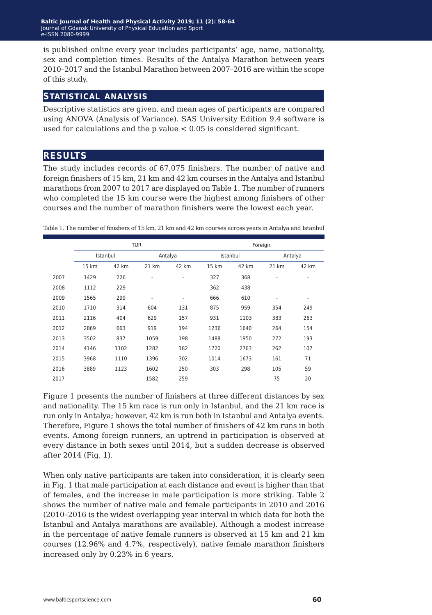is published online every year includes participants' age, name, nationality, sex and completion times. Results of the Antalya Marathon between years 2010–2017 and the Istanbul Marathon between 2007–2016 are within the scope of this study.

#### **statistical analysis**

Descriptive statistics are given, and mean ages of participants are compared using ANOVA (Analysis of Variance). SAS University Edition 9.4 software is used for calculations and the p value  $< 0.05$  is considered significant.

## **results**

The study includes records of 67,075 finishers. The number of native and foreign finishers of 15 km, 21 km and 42 km courses in the Antalya and Istanbul marathons from 2007 to 2017 are displayed on Table 1. The number of runners who completed the 15 km course were the highest among finishers of other courses and the number of marathon finishers were the lowest each year.

|      | <b>TUR</b> |       |         |                          | Foreign  |       |                          |                          |
|------|------------|-------|---------|--------------------------|----------|-------|--------------------------|--------------------------|
|      | Istanbul   |       | Antalya |                          | Istanbul |       | Antalya                  |                          |
|      | 15 km      | 42 km | 21 km   | 42 km                    | 15 km    | 42 km | 21 km                    | 42 km                    |
| 2007 | 1429       | 226   | ٠       | ٠                        | 327      | 368   | ٠                        | ٠                        |
| 2008 | 1112       | 229   | ٠       | $\overline{\phantom{a}}$ | 362      | 438   | ٠                        | $\overline{\phantom{a}}$ |
| 2009 | 1565       | 299   | ٠       | ٠                        | 666      | 610   | $\overline{\phantom{a}}$ | ٠                        |
| 2010 | 1710       | 314   | 604     | 131                      | 875      | 959   | 354                      | 249                      |
| 2011 | 2116       | 404   | 629     | 157                      | 931      | 1103  | 383                      | 263                      |
| 2012 | 2869       | 663   | 919     | 194                      | 1236     | 1640  | 264                      | 154                      |
| 2013 | 3502       | 837   | 1059    | 198                      | 1488     | 1950  | 272                      | 193                      |
| 2014 | 4146       | 1102  | 1282    | 182                      | 1720     | 2763  | 262                      | 107                      |
| 2015 | 3968       | 1110  | 1396    | 302                      | 1014     | 1673  | 161                      | 71                       |
| 2016 | 3889       | 1123  | 1602    | 250                      | 303      | 298   | 105                      | 59                       |
| 2017 | ٠          |       | 1582    | 259                      | ٠        |       | 75                       | 20                       |

Table 1. The number of finishers of 15 km, 21 km and 42 km courses across years in Antalya and Istanbul

Figure 1 presents the number of finishers at three different distances by sex and nationality. The 15 km race is run only in Istanbul, and the 21 km race is run only in Antalya; however, 42 km is run both in Istanbul and Antalya events. Therefore, Figure 1 shows the total number of finishers of 42 km runs in both events. Among foreign runners, an uptrend in participation is observed at every distance in both sexes until 2014, but a sudden decrease is observed after 2014 (Fig. 1).

When only native participants are taken into consideration, it is clearly seen in Fig. 1 that male participation at each distance and event is higher than that of females, and the increase in male participation is more striking. Table 2 shows the number of native male and female participants in 2010 and 2016 (2010–2016 is the widest overlapping year interval in which data for both the Istanbul and Antalya marathons are available). Although a modest increase in the percentage of native female runners is observed at 15 km and 21 km courses (12.96% and 4.7%, respectively), native female marathon finishers increased only by 0.23% in 6 years.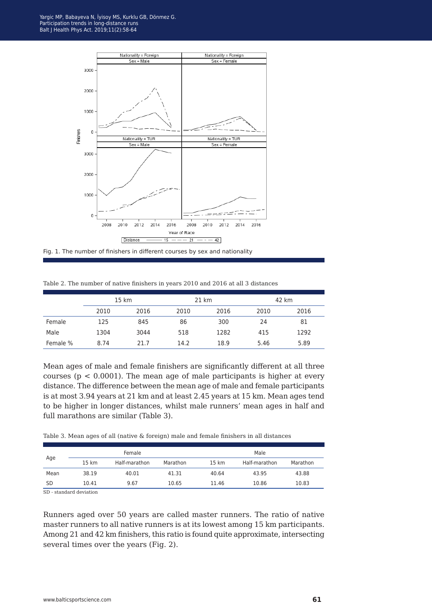

Table 2. The number of native finishers in years 2010 and 2016 at all 3 distances

|          | 15 km |      | 21 km |      | 42 km |      |
|----------|-------|------|-------|------|-------|------|
|          | 2010  | 2016 | 2010  | 2016 | 2010  | 2016 |
| Female   | 125   | 845  | 86    | 300  | 24    | 81   |
| Male     | 1304  | 3044 | 518   | 1282 | 415   | 1292 |
| Female % | 8.74  | 21.7 | 14.2  | 18.9 | 5.46  | 5.89 |

Mean ages of male and female finishers are significantly different at all three courses ( $p < 0.0001$ ). The mean age of male participants is higher at every distance. The difference between the mean age of male and female participants is at most 3.94 years at 21 km and at least 2.45 years at 15 km. Mean ages tend to be higher in longer distances, whilst male runners' mean ages in half and full marathons are similar (Table 3).

Table 3. Mean ages of all (native & foreign) male and female finishers in all distances

|           |       | Female        |          | Male             |               |          |  |
|-----------|-------|---------------|----------|------------------|---------------|----------|--|
| Age       | 15 km | Half-marathon | Marathon | $15 \mathrm{km}$ | Half-marathon | Marathon |  |
| Mean      | 38.19 | 40.01         | 41.31    | 40.64            | 43.95         | 43.88    |  |
| <b>SD</b> | 10.41 | 9.67          | 10.65    | 11.46            | 10.86         | 10.83    |  |

SD - standard deviation

Runners aged over 50 years are called master runners. The ratio of native master runners to all native runners is at its lowest among 15 km participants. Among 21 and 42 km finishers, this ratio is found quite approximate, intersecting several times over the years (Fig. 2).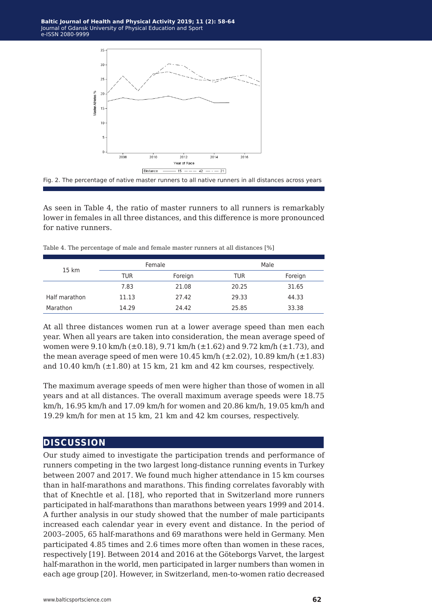



As seen in Table 4, the ratio of master runners to all runners is remarkably lower in females in all three distances, and this difference is more pronounced for native runners.

|       | ້    |         |       |         |  |
|-------|------|---------|-------|---------|--|
|       |      |         |       |         |  |
| 15 km |      | Female  | Male  |         |  |
|       | TUR  | Foreign | TUR   | Foreign |  |
|       | 7.83 | 21.08   | 20.25 | 31.65   |  |

Half marathon 11.13 27.42 29.33 44.33 Marathon 14.29 24.42 25.85 33.38

Table 4. The percentage of male and female master runners at all distances [%]

At all three distances women run at a lower average speed than men each year. When all years are taken into consideration, the mean average speed of women were 9.10 km/h ( $\pm$ 0.18), 9.71 km/h ( $\pm$ 1.62) and 9.72 km/h ( $\pm$ 1.73), and the mean average speed of men were  $10.45 \text{ km/h}$  ( $\pm 2.02$ ),  $10.89 \text{ km/h}$  ( $\pm 1.83$ ) and  $10.40$  km/h  $(\pm 1.80)$  at 15 km, 21 km and 42 km courses, respectively.

The maximum average speeds of men were higher than those of women in all years and at all distances. The overall maximum average speeds were 18.75 km/h, 16.95 km/h and 17.09 km/h for women and 20.86 km/h, 19.05 km/h and 19.29 km/h for men at 15 km, 21 km and 42 km courses, respectively.

#### **discussion**

Our study aimed to investigate the participation trends and performance of runners competing in the two largest long-distance running events in Turkey between 2007 and 2017. We found much higher attendance in 15 km courses than in half-marathons and marathons. This finding correlates favorably with that of Knechtle et al. [18], who reported that in Switzerland more runners participated in half-marathons than marathons between years 1999 and 2014. A further analysis in our study showed that the number of male participants increased each calendar year in every event and distance. In the period of 2003–2005, 65 half-marathons and 69 marathons were held in Germany. Men participated 4.85 times and 2.6 times more often than women in these races, respectively [19]. Between 2014 and 2016 at the Göteborgs Varvet, the largest half-marathon in the world, men participated in larger numbers than women in each age group [20]. However, in Switzerland, men-to-women ratio decreased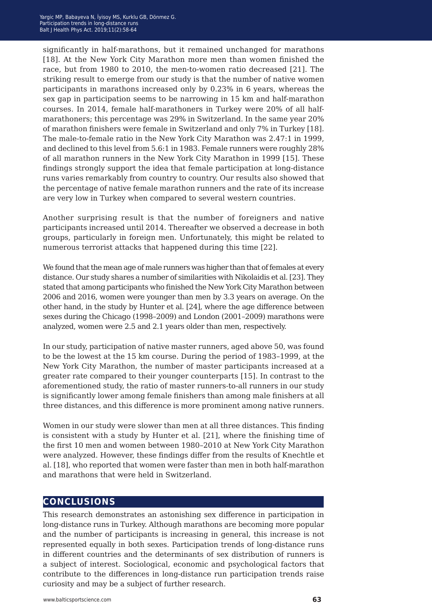significantly in half-marathons, but it remained unchanged for marathons [18]. At the New York City Marathon more men than women finished the race, but from 1980 to 2010, the men-to-women ratio decreased [21]. The striking result to emerge from our study is that the number of native women participants in marathons increased only by 0.23% in 6 years, whereas the sex gap in participation seems to be narrowing in 15 km and half-marathon courses. In 2014, female half-marathoners in Turkey were 20% of all halfmarathoners; this percentage was 29% in Switzerland. In the same year 20% of marathon finishers were female in Switzerland and only 7% in Turkey [18]. The male-to-female ratio in the New York City Marathon was 2.47:1 in 1999, and declined to this level from 5.6:1 in 1983. Female runners were roughly 28% of all marathon runners in the New York City Marathon in 1999 [15]. These findings strongly support the idea that female participation at long-distance runs varies remarkably from country to country. Our results also showed that the percentage of native female marathon runners and the rate of its increase are very low in Turkey when compared to several western countries.

Another surprising result is that the number of foreigners and native participants increased until 2014. Thereafter we observed a decrease in both groups, particularly in foreign men. Unfortunately, this might be related to numerous terrorist attacks that happened during this time [22].

We found that the mean age of male runners was higher than that of females at every distance. Our study shares a number of similarities with Nikolaidis et al. [23]. They stated that among participants who finished the New York City Marathon between 2006 and 2016, women were younger than men by 3.3 years on average. On the other hand, in the study by Hunter et al. [24], where the age difference between sexes during the Chicago (1998–2009) and London (2001–2009) marathons were analyzed, women were 2.5 and 2.1 years older than men, respectively.

In our study, participation of native master runners, aged above 50, was found to be the lowest at the 15 km course. During the period of 1983–1999, at the New York City Marathon, the number of master participants increased at a greater rate compared to their younger counterparts [15]. In contrast to the aforementioned study, the ratio of master runners-to-all runners in our study is significantly lower among female finishers than among male finishers at all three distances, and this difference is more prominent among native runners.

Women in our study were slower than men at all three distances. This finding is consistent with a study by Hunter et al. [21], where the finishing time of the first 10 men and women between 1980–2010 at New York City Marathon were analyzed. However, these findings differ from the results of Knechtle et al. [18], who reported that women were faster than men in both half-marathon and marathons that were held in Switzerland.

## **conclusions**

This research demonstrates an astonishing sex difference in participation in long-distance runs in Turkey. Although marathons are becoming more popular and the number of participants is increasing in general, this increase is not represented equally in both sexes. Participation trends of long-distance runs in different countries and the determinants of sex distribution of runners is a subject of interest. Sociological, economic and psychological factors that contribute to the differences in long-distance run participation trends raise curiosity and may be a subject of further research.